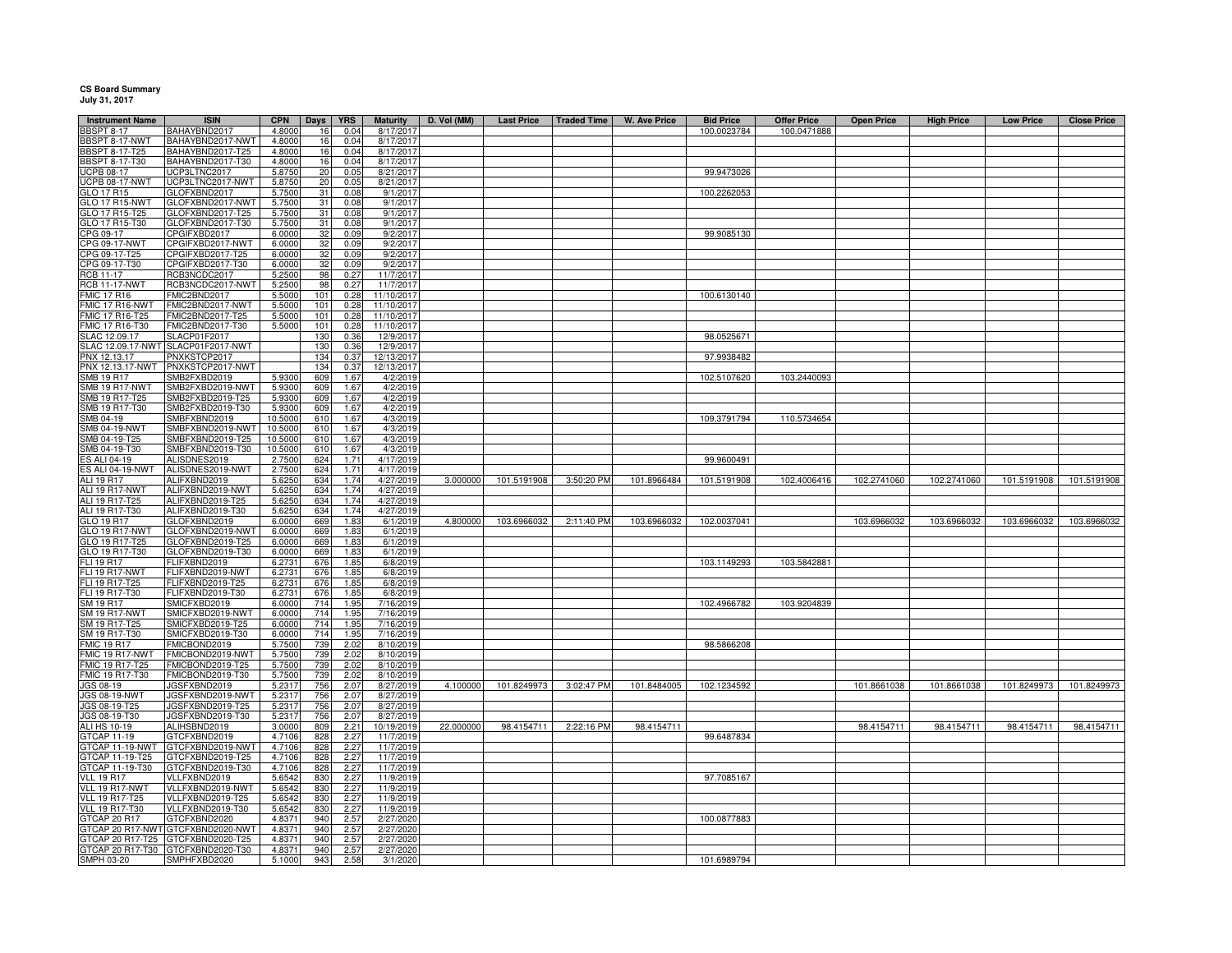## **CS Board Summary July 31, 2017**

| <b>Instrument Name</b><br><b>BBSPT 8-17</b> | <b>ISIN</b><br>BAHAYBND2017          | <b>CPN</b><br>4.8000 | Days<br>16      | <b>YRS</b><br>0.04 | <b>Maturity</b><br>8/17/201 | D. Vol (MM) | <b>Last Price</b> | <b>Traded Time</b> | <b>W. Ave Price</b> | <b>Bid Price</b><br>100.0023784 | <b>Offer Price</b><br>100.0471888 | <b>Open Price</b> | <b>High Price</b> | <b>Low Price</b> | <b>Close Price</b> |
|---------------------------------------------|--------------------------------------|----------------------|-----------------|--------------------|-----------------------------|-------------|-------------------|--------------------|---------------------|---------------------------------|-----------------------------------|-------------------|-------------------|------------------|--------------------|
| BBSPT 8-17-NWT                              | BAHAYBND2017-NWT                     | 4.8000               | 16              | 0.04               | 8/17/201                    |             |                   |                    |                     |                                 |                                   |                   |                   |                  |                    |
| <b>BBSPT 8-17-T25</b>                       | BAHAYBND2017-T25                     | 4.8000               | 16              | 0.04               | 8/17/2017                   |             |                   |                    |                     |                                 |                                   |                   |                   |                  |                    |
| <b>BBSPT 8-17-T30</b>                       | BAHAYBND2017-T30                     | 4.8000               | 16              | 0.04               | 8/17/2017                   |             |                   |                    |                     |                                 |                                   |                   |                   |                  |                    |
| <b>UCPB 08-17</b>                           | UCP3LTNC2017                         | 5.8750               | 20              | 0.05               | 8/21/2017                   |             |                   |                    |                     | 99.9473026                      |                                   |                   |                   |                  |                    |
| <b>UCPB 08-17-NWT</b>                       | UCP3LTNC2017-NWT                     | 5.8750               | 20              | 0.05               | 8/21/2017                   |             |                   |                    |                     |                                 |                                   |                   |                   |                  |                    |
| GLO 17 R15                                  | GLOFXBND2017                         | 5.7500               | 31              | 0.08               | 9/1/2017                    |             |                   |                    |                     | 100.2262053                     |                                   |                   |                   |                  |                    |
| <b>GLO 17 R15-NWT</b>                       | GLOFXBND2017-NWT                     | 5.7500               | 31              | 0.08               | 9/1/2017                    |             |                   |                    |                     |                                 |                                   |                   |                   |                  |                    |
| GLO 17 R15-T25                              | GLOFXBND2017-T25                     | 5.7500               | 31              | 0.08               | 9/1/2017                    |             |                   |                    |                     |                                 |                                   |                   |                   |                  |                    |
| GLO 17 R15-T30                              | GLOFXBND2017-T30                     | 5.7500               | 31              | 0.08               | 9/1/2017                    |             |                   |                    |                     |                                 |                                   |                   |                   |                  |                    |
| CPG 09-17                                   | CPGIFXBD2017                         | 6.0000               | $\frac{32}{32}$ | 0.09               | 9/2/2017                    |             |                   |                    |                     | 99.9085130                      |                                   |                   |                   |                  |                    |
| CPG 09-17-NWT                               | CPGIFXBD2017-NWT                     | 6.0000               |                 | 0.09               | 9/2/2017                    |             |                   |                    |                     |                                 |                                   |                   |                   |                  |                    |
| CPG 09-17-T25                               | CPGIFXBD2017-T25                     | 6.0000               | 32              | 0.09               | 9/2/2017                    |             |                   |                    |                     |                                 |                                   |                   |                   |                  |                    |
| CPG 09-17-T30                               | CPGIFXBD2017-T30                     | 6.0000               | 32              | 0.09               | 9/2/2017                    |             |                   |                    |                     |                                 |                                   |                   |                   |                  |                    |
| RCB 11-17<br><b>RCB 11-17-NWT</b>           | RCB3NCDC2017<br>RCB3NCDC2017-NWT     | 5.2500<br>5.2500     | 98<br>98        | 0.27<br>0.27       | 11/7/2017<br>11/7/2017      |             |                   |                    |                     |                                 |                                   |                   |                   |                  |                    |
| <b>FMIC 17 R16</b>                          | FMIC2BND2017                         | 5.5000               | 101             | 0.28               | 11/10/2017                  |             |                   |                    |                     | 100.6130140                     |                                   |                   |                   |                  |                    |
| FMIC 17 R16-NWT                             | FMIC2BND2017-NWT                     | 5.5000               | 101             | 0.28               | 11/10/2017                  |             |                   |                    |                     |                                 |                                   |                   |                   |                  |                    |
| FMIC 17 R16-T25                             | FMIC2BND2017-T25                     | 5.5000               | 101             | 0.28               | 11/10/2017                  |             |                   |                    |                     |                                 |                                   |                   |                   |                  |                    |
| FMIC 17 R16-T30                             | FMIC2BND2017-T30                     | 5.5000               | 101             | 0.28               | 11/10/2017                  |             |                   |                    |                     |                                 |                                   |                   |                   |                  |                    |
| LAC 12.09.17                                | SLACP01F2017                         |                      | 130             | 0.36               | 12/9/2017                   |             |                   |                    |                     | 98.0525671                      |                                   |                   |                   |                  |                    |
| SLAC 12.09.17-NWT                           | SLACP01F2017-NWT                     |                      | 130             | 0.36               | 12/9/2017                   |             |                   |                    |                     |                                 |                                   |                   |                   |                  |                    |
| PNX 12.13.17                                | PNXKSTCP2017                         |                      | 134             | 0.37               | 12/13/2017                  |             |                   |                    |                     | 97.9938482                      |                                   |                   |                   |                  |                    |
| PNX 12.13.17-NWT                            | PNXKSTCP2017-NWT                     |                      | 134             | 0.37               | 12/13/2017                  |             |                   |                    |                     |                                 |                                   |                   |                   |                  |                    |
| SMB 19 R17                                  | SMB2FXBD2019                         | 5.9300               | 609             | 1.67               | 4/2/2019                    |             |                   |                    |                     | 102.5107620                     | 103.2440093                       |                   |                   |                  |                    |
| <b>SMB 19 R17-NWT</b>                       | SMB2FXBD2019-NWT                     | 5.9300               | 609             | 1.67               | 4/2/2019                    |             |                   |                    |                     |                                 |                                   |                   |                   |                  |                    |
| SMB 19 R17-T25                              | SMB2FXBD2019-T25                     | 5.9300               | 609             | 1.67               | 4/2/2019                    |             |                   |                    |                     |                                 |                                   |                   |                   |                  |                    |
| SMB 19 R17-T30<br>SMB 04-19                 | SMB2FXBD2019-T30<br>SMBFXBND2019     | 5.9300<br>10.5000    | 609<br>610      | 1.67<br>1.67       | 4/2/2019                    |             |                   |                    |                     | 109.3791794                     | 110.5734654                       |                   |                   |                  |                    |
| <b>SMB 04-19-NWT</b>                        | SMBFXBND2019-NWT                     | 10.5000              | 610             | 1.67               | 4/3/2019<br>4/3/2019        |             |                   |                    |                     |                                 |                                   |                   |                   |                  |                    |
| SMB 04-19-T25                               | SMBFXBND2019-T25                     | 10.5000              | 610             | 1.67               | 4/3/2019                    |             |                   |                    |                     |                                 |                                   |                   |                   |                  |                    |
| SMB 04-19-T30                               | SMBFXBND2019-T30                     | 10.5000              | 610             | 1.67               | 4/3/2019                    |             |                   |                    |                     |                                 |                                   |                   |                   |                  |                    |
| ES ALI 04-19                                | ALISDNES2019                         | 2.7500               | 624             | 1.71               | 4/17/2019                   |             |                   |                    |                     | 99.9600491                      |                                   |                   |                   |                  |                    |
| ES ALI 04-19-NWT                            | ALISDNES2019-NWT                     | 2.7500               | 624             | 17 <sup>°</sup>    | 4/17/2019                   |             |                   |                    |                     |                                 |                                   |                   |                   |                  |                    |
| ALI 19 R17                                  | ALIFXBND2019                         | 5.6250               | 634             | 1.74               | 4/27/2019                   | 3.000000    | 101.5191908       | 3:50:20 PM         | 101.8966484         | 101.5191908                     | 102.4006416                       | 102.2741060       | 102.2741060       | 101.5191908      | 101.5191908        |
| <b>ALI 19 R17-NWT</b>                       | ALIFXBND2019-NWT                     | 5.6250               | 634             | 1.74               | 4/27/2019                   |             |                   |                    |                     |                                 |                                   |                   |                   |                  |                    |
| ALI 19 R17-T25<br>ALI 19 R17-T30            | ALIFXBND2019-T25<br>ALIFXBND2019-T30 | 5.6250<br>5.6250     | 634<br>634      | 1.74<br>1.74       | 4/27/2019<br>4/27/2019      |             |                   |                    |                     |                                 |                                   |                   |                   |                  |                    |
| GLO 19 R17                                  | GLOFXBND2019                         | 6.000                | 669             | 1.83               | 6/1/2019                    | 4.800000    | 103.6966032       | 2:11:40 PM         | 103.6966032         | 102.0037041                     |                                   | 103.6966032       | 103.6966032       | 103.6966032      | 103.6966032        |
| GLO 19 R17-NWT                              | GLOFXBND2019-NWT                     | 6.000                | 669             | 1.83               | 6/1/2019                    |             |                   |                    |                     |                                 |                                   |                   |                   |                  |                    |
| GLO 19 R17-T25                              | GLOFXBND2019-T25                     | 6.0000               | 669             | 1.8 <sup>′</sup>   | 6/1/2019                    |             |                   |                    |                     |                                 |                                   |                   |                   |                  |                    |
| GLO 19 R17-T30                              | GLOFXBND2019-T30                     | 6.000                | 669             | 1.83               | 6/1/2019                    |             |                   |                    |                     |                                 |                                   |                   |                   |                  |                    |
| FLI 19 R17                                  | <b>ELIFXBND2019</b>                  | 6.2731               | 676             | 1.85               | 6/8/2019                    |             |                   |                    |                     | 103.1149293                     | 103.5842881                       |                   |                   |                  |                    |
| FLI 19 R17-NWT                              | <b>ELIFXBND2019-NWT</b>              | 6.2731               | 676             | 1.85               | 6/8/2019                    |             |                   |                    |                     |                                 |                                   |                   |                   |                  |                    |
| FLI 19 R17-T25                              | FLIFXBND2019-T25                     | 6.2731               | 676             | 1.85               | 6/8/2019                    |             |                   |                    |                     |                                 |                                   |                   |                   |                  |                    |
| FLI 19 R17-T30                              | FLIFXBND2019-T30                     | 6.2731               | 676             | 1.85               | 6/8/2019                    |             |                   |                    |                     |                                 |                                   |                   |                   |                  |                    |
| SM 19 R17                                   | SMICFXBD2019                         | 6.0000               | 714             | 1.95               | 7/16/2019                   |             |                   |                    |                     | 102.4966782                     | 103.9204839                       |                   |                   |                  |                    |
| <b>SM 19 R17-NWT</b>                        | SMICFXBD2019-NWT                     | 6.0000               | 714             | 1.95               | 7/16/2019                   |             |                   |                    |                     |                                 |                                   |                   |                   |                  |                    |
| SM 19 R17-T25                               | SMICFXBD2019-T25                     | 6.0000               | 714<br>714      | 1.95               | 7/16/2019                   |             |                   |                    |                     |                                 |                                   |                   |                   |                  |                    |
| SM 19 R17-T30<br><b>MIC 19 R17</b>          | SMICFXBD2019-T30<br>MICBOND2019      | 6.0000<br>5.7500     | 739             | 1.95<br>2.02       | 7/16/2019<br>8/10/2019      |             |                   |                    |                     | 98.5866208                      |                                   |                   |                   |                  |                    |
| FMIC 19 R17-NWT                             | FMICBOND2019-NWT                     | 5.7500               | 739             | 2.02               | 8/10/2019                   |             |                   |                    |                     |                                 |                                   |                   |                   |                  |                    |
| FMIC 19 R17-T25                             | MICBOND2019-T25                      | 5.7500               | 739             | 2.02               | 8/10/2019                   |             |                   |                    |                     |                                 |                                   |                   |                   |                  |                    |
| FMIC 19 R17-T30                             | FMICBOND2019-T30                     | 5.7500               | 739             | 2.02               | 8/10/2019                   |             |                   |                    |                     |                                 |                                   |                   |                   |                  |                    |
| JGS 08-19                                   | JGSFXBND2019                         | 5.2317               | 756             | 2.07               | 8/27/2019                   | 4.100000    | 101.8249973       | 3:02:47 PM         | 101.8484005         | 102.1234592                     |                                   | 101.8661038       | 101.8661038       | 101.8249973      | 101.8249973        |
| <b>JGS 08-19-NWT</b>                        | JGSFXBND2019-NWT                     | 5.2317               | 756             | 2.07               | 8/27/2019                   |             |                   |                    |                     |                                 |                                   |                   |                   |                  |                    |
| JGS 08-19-T25                               | JGSFXBND2019-T25                     | 5.2317               | 756             | 2.07               | 8/27/2019                   |             |                   |                    |                     |                                 |                                   |                   |                   |                  |                    |
| JGS 08-19-T30                               | JGSFXBND2019-T30                     | 5.2317               | 756             | 2.07               | 8/27/2019                   |             |                   |                    |                     |                                 |                                   |                   |                   |                  |                    |
| ALI HS 10-19                                | ALIHSBND2019                         | 3.0000               | 809             | 2.21               | 10/19/2019                  | 22.000000   | 98.4154711        | 2:22:16 PM         | 98.4154711          |                                 |                                   | 98.4154711        | 98.4154711        | 98.4154711       | 98.4154711         |
| <b>GTCAP 11-19</b>                          | GTCFXBND2019                         | 4.7106               | 828             | 2.27               | 11/7/2019                   |             |                   |                    |                     | 99.6487834                      |                                   |                   |                   |                  |                    |
| GTCAP 11-19-NWT                             | GTCFXBND2019-NWT                     | 4.7106               | 828             | 2.27               | 11/7/2019                   |             |                   |                    |                     |                                 |                                   |                   |                   |                  |                    |
| GTCAP 11-19-T25<br>GTCAP 11-19-T30          | GTCFXBND2019-T25<br>GTCFXBND2019-T30 | 4.7106<br>4.7106     | 828<br>828      | 2.27<br>2.27       | 11/7/2019<br>11/7/2019      |             |                   |                    |                     |                                 |                                   |                   |                   |                  |                    |
| <b>VLL 19 R17</b>                           | VLLFXBND2019                         | 5.6542               | 830             | 2.27               | 11/9/2019                   |             |                   |                    |                     | 97.7085167                      |                                   |                   |                   |                  |                    |
| VLL 19 R17-NWT                              | VLLFXBND2019-NWT                     | 5.6542               | 830             | 2.27               | 11/9/2019                   |             |                   |                    |                     |                                 |                                   |                   |                   |                  |                    |
| <b>VLL 19 R17-T25</b>                       | VLLFXBND2019-T25                     | 5.6542               | 830             | 2.27               | 11/9/2019                   |             |                   |                    |                     |                                 |                                   |                   |                   |                  |                    |
| <b>VLL 19 R17-T30</b>                       | VLLFXBND2019-T30                     | 5.6542               | 830             | 2.27               | 11/9/2019                   |             |                   |                    |                     |                                 |                                   |                   |                   |                  |                    |
| GTCAP 20 R17                                | GTCFXBND2020                         | 4.8371               | 940             | 2.57               | 2/27/2020                   |             |                   |                    |                     | 100.0877883                     |                                   |                   |                   |                  |                    |
| GTCAP 20 R17-NWT                            | GTCFXBND2020-NWT                     | 4.8371               | 940             | 2.57               | 2/27/2020                   |             |                   |                    |                     |                                 |                                   |                   |                   |                  |                    |
| GTCAP 20 R17-T25                            | GTCFXBND2020-T25                     | 4.8371               | 940             | 2.57               | 2/27/2020                   |             |                   |                    |                     |                                 |                                   |                   |                   |                  |                    |
|                                             | GTCAP 20 R17-T30 GTCFXBND2020-T30    | 4.8371               | 940             | 2.57               | 2/27/2020                   |             |                   |                    |                     |                                 |                                   |                   |                   |                  |                    |
| SMPH 03-20                                  | SMPHFXBD2020                         | 5.1000               | 943             | 2.58               | 3/1/2020                    |             |                   |                    |                     | 101.6989794                     |                                   |                   |                   |                  |                    |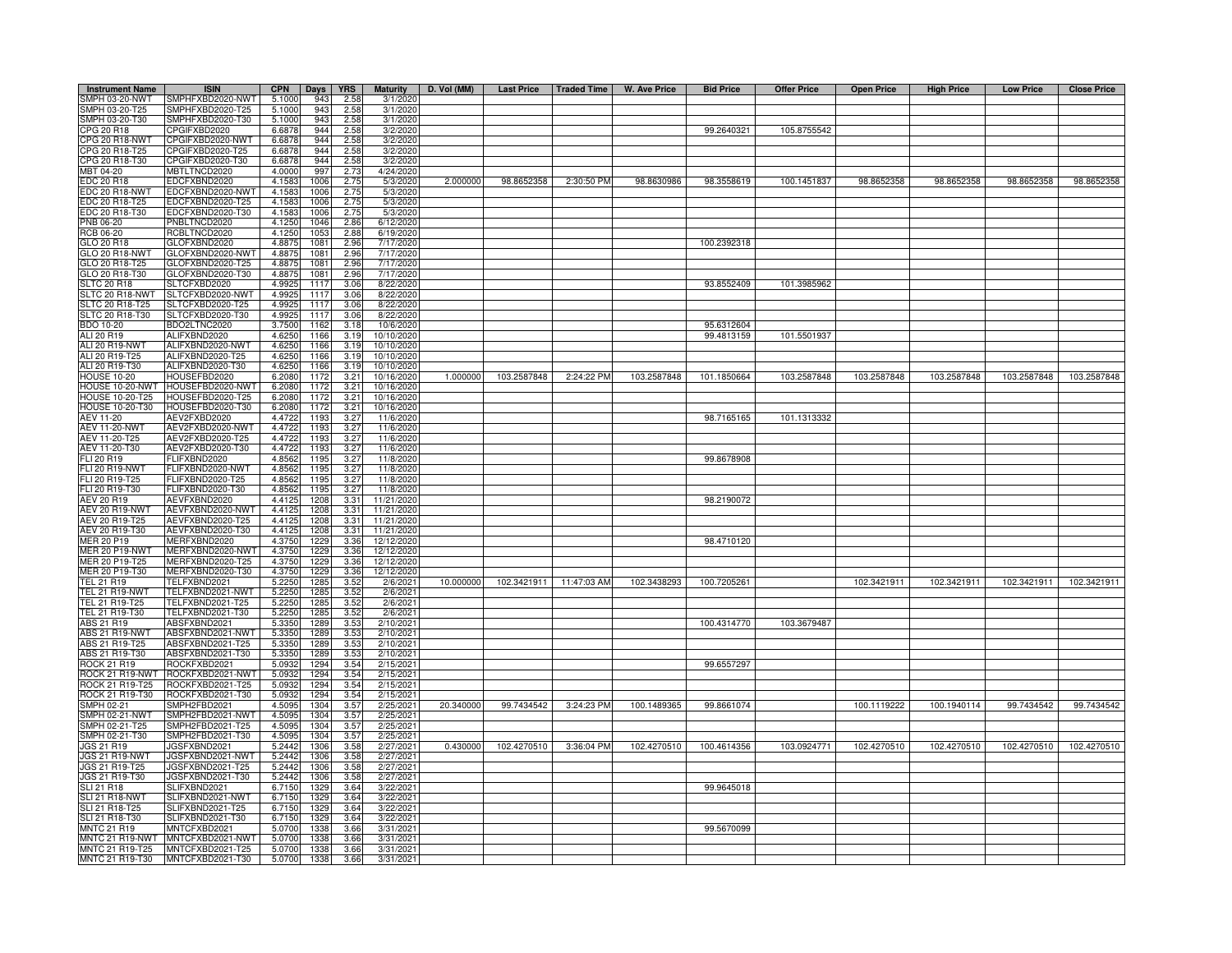| <b>Instrument Name</b>                    | <b>ISIN</b>                          | <b>CPN</b>       | Days         | <b>YRS</b>   | <b>Maturity</b>          | D. Vol (MM) | Last Price   Traded Time |                         | W. Ave Price | <b>Bid Price</b> | <b>Offer Price</b> | <b>Open Price</b> | <b>High Price</b> | <b>Low Price</b> | <b>Close Price</b>      |
|-------------------------------------------|--------------------------------------|------------------|--------------|--------------|--------------------------|-------------|--------------------------|-------------------------|--------------|------------------|--------------------|-------------------|-------------------|------------------|-------------------------|
| SMPH 03-20-NWT                            | SMPHFXBD2020-NWT                     | 5.1000           | 943          | 2.58         | 3/1/2020                 |             |                          |                         |              |                  |                    |                   |                   |                  |                         |
| SMPH 03-20-T25                            | SMPHFXBD2020-T25                     | 5.1000           | 943          | 2.58         | 3/1/2020                 |             |                          |                         |              |                  |                    |                   |                   |                  |                         |
| SMPH 03-20-T30<br>CPG 20 R18              | MPHFXBD2020-T30                      | 5.1000<br>6.6878 | 943<br>944   | 2.58<br>2.58 | 3/1/2020                 |             |                          |                         |              | 99.2640321       | 105.8755542        |                   |                   |                  |                         |
| CPG 20 R18-NWT                            | PGIFXBD2020<br>CPGIFXBD2020-NWT      | 6.6878           | 944          | 2.58         | 3/2/2020<br>3/2/2020     |             |                          |                         |              |                  |                    |                   |                   |                  |                         |
| CPG 20 R18-T25                            | CPGIFXBD2020-T25                     | 6.6878           | 944          | 2.58         | 3/2/2020                 |             |                          |                         |              |                  |                    |                   |                   |                  |                         |
| CPG 20 R18-T30                            | CPGIFXBD2020-T30                     | 6.6878           | 944          | 2.58         | 3/2/2020                 |             |                          |                         |              |                  |                    |                   |                   |                  |                         |
| MBT 04-20                                 | <b>MBTLTNCD2020</b>                  | 4.0000           | 997          | 2.73         | 4/24/2020                |             |                          |                         |              |                  |                    |                   |                   |                  |                         |
| <b>EDC 20 R18</b>                         | EDCFXBND2020                         | 4.1583           | 1006         | 2.75         | 5/3/2020                 | 2.000000    | 98.8652358               | 2:30:50 PM              | 98.8630986   | 98.3558619       | 100.1451837        | 98.8652358        | 98.8652358        | 98.8652358       | 98.8652358              |
| EDC 20 R18-NWT                            | EDCFXBND2020-NWT                     | 4.1583           | 1006         | 2.75         | 5/3/2020                 |             |                          |                         |              |                  |                    |                   |                   |                  |                         |
| DC 20 R18-T25                             | DCFXBND2020-T25                      | 4.1583           | 1006         | 2.75         | 5/3/2020                 |             |                          |                         |              |                  |                    |                   |                   |                  |                         |
| EDC 20 R18-T30<br>PNB 06-20               | DCFXBND2020-T30<br>PNBLTNCD2020      | 4.1583<br>4.1250 | 1006<br>1046 | 2.75<br>2.86 | 5/3/2020<br>6/12/2020    |             |                          |                         |              |                  |                    |                   |                   |                  |                         |
| RCB 06-20                                 | RCBLTNCD2020                         | 4.1250           | 1053         | 2.88         | 6/19/2020                |             |                          |                         |              |                  |                    |                   |                   |                  |                         |
| GLO 20 R18                                | GLOFXBND2020                         | 4.8875           | 1081         | 2.96         | 7/17/2020                |             |                          |                         |              | 100.2392318      |                    |                   |                   |                  |                         |
| GLO 20 R18-NWT                            | GLOFXBND2020-NWT                     | 4.8875           | 1081         | 2.96         | 7/17/2020                |             |                          |                         |              |                  |                    |                   |                   |                  |                         |
| GLO 20 R18-T25                            | GLOFXBND2020-T25                     | 4.8875           | 1081         | 2.96         | 7/17/2020                |             |                          |                         |              |                  |                    |                   |                   |                  |                         |
| GLO 20 R18-T30                            | GLOFXBND2020-T30                     | 4.8875           | 1081         | 2.96         | 7/17/202                 |             |                          |                         |              |                  |                    |                   |                   |                  |                         |
| <b>LTC 20 R18</b>                         | SLTCFXBD2020                         | 4.9925           | 1117         | 3.06         | 8/22/202                 |             |                          |                         |              | 93.8552409       | 101.3985962        |                   |                   |                  |                         |
| SLTC 20 R18-NWT<br><b>SLTC 20 R18-T25</b> | SLTCFXBD2020-NWT<br>SLTCFXBD2020-T25 | 4.9925<br>4.9925 | 1117<br>1117 | 3.06<br>3.06 | 8/22/2020<br>8/22/2020   |             |                          |                         |              |                  |                    |                   |                   |                  |                         |
| SLTC 20 R18-T30                           | SLTCFXBD2020-T30                     | 4.9925           | 1117         | 3.06         | 8/22/202                 |             |                          |                         |              |                  |                    |                   |                   |                  |                         |
| BDO 10-20                                 | BDO2LTNC2020                         | 3.7500           | 1162         | 3.18         | 10/6/202                 |             |                          |                         |              | 95.6312604       |                    |                   |                   |                  |                         |
| ALI 20 R19                                | ALIFXBND2020                         | 4.6250           | 1166         | 3.19         | 10/10/202                |             |                          |                         |              | 99.4813159       | 101.5501937        |                   |                   |                  |                         |
| ALI 20 R19-NWT                            | ALIFXBND2020-NWT                     | 4.6250           | 1166         | 3.19         | 10/10/2020               |             |                          |                         |              |                  |                    |                   |                   |                  |                         |
| ALI 20 R19-T25                            | ALIFXBND2020-T25                     | 4.6250           | 1166         | 3.19         | 10/10/2020               |             |                          |                         |              |                  |                    |                   |                   |                  |                         |
| ALI 20 R19-T30                            | ALIFXBND2020-T30                     | 4.6250           | 1166         | 3.19         | 10/10/202                |             |                          |                         |              |                  |                    |                   |                   |                  |                         |
| <b>HOUSE 10-20</b>                        | HOUSEFBD2020                         | 6.2080           | 1172         | 3.21         | 10/16/2020               | 1.000000    | 103.2587848              | 2:24:22 PM              | 103.2587848  | 101.1850664      | 103.2587848        | 103.2587848       | 103.2587848       | 103.2587848      | 103.2587848             |
| HOUSE 10-20-NWT                           | <b>HOUSEFBD2020-NWT</b>              | 6.2080           | 1172<br>1172 | 3.21         | 10/16/2020<br>10/16/2020 |             |                          |                         |              |                  |                    |                   |                   |                  |                         |
| HOUSE 10-20-T25<br>HOUSE 10-20-T30        | HOUSEFBD2020-T25<br>HOUSEFBD2020-T30 | 6.2080<br>6.2080 | 1172         | 3.21<br>3.21 | 10/16/2020               |             |                          |                         |              |                  |                    |                   |                   |                  |                         |
| <b>AEV 11-20</b>                          | AEV2FXBD2020                         | 4.4722           | 1193         | 3.27         | 11/6/2020                |             |                          |                         |              | 98.7165165       | 101.1313332        |                   |                   |                  |                         |
| <b>AEV 11-20-NWT</b>                      | AEV2FXBD2020-NWT                     | 4.4722           | 1193         | 3.27         | 11/6/2020                |             |                          |                         |              |                  |                    |                   |                   |                  |                         |
| AEV 11-20-T25                             | AEV2FXBD2020-T25                     | 4.4722           | 1193         | 3.27         | 11/6/2020                |             |                          |                         |              |                  |                    |                   |                   |                  |                         |
| AEV 11-20-T30                             | AEV2FXBD2020-T30                     | 4.4722           | 1193         | 3.27         | 11/6/2020                |             |                          |                         |              |                  |                    |                   |                   |                  |                         |
| FLI 20 R19                                | <b>LIFXBND2020</b>                   | 4.8562           | 1195         | 3.27         | 11/8/2020                |             |                          |                         |              | 99.8678908       |                    |                   |                   |                  |                         |
| FLI 20 R19-NWT                            | LIFXBND2020-NWT                      | 4.856            | 1195         | 3.27         | 11/8/2020                |             |                          |                         |              |                  |                    |                   |                   |                  |                         |
| FLI 20 R19-T25                            | LIFXBND2020-T25<br>FLIFXBND2020-T30  | 4.8562           | 1195         | 3.27         | 11/8/2020                |             |                          |                         |              |                  |                    |                   |                   |                  |                         |
| FLI 20 R19-T30<br>AEV 20 R19              | AEVFXBND2020                         | 4.8562<br>4.4125 | 1195<br>1208 | 3.27<br>3.31 | 11/8/2020<br>11/21/2020  |             |                          |                         |              | 98.2190072       |                    |                   |                   |                  |                         |
| AEV 20 R19-NWT                            | AEVFXBND2020-NWT                     | 4.4125           | 1208         | 3.31         | 11/21/2020               |             |                          |                         |              |                  |                    |                   |                   |                  |                         |
| AEV 20 R19-T25                            | AEVFXBND2020-T25                     | 4.4125           | 1208         | 3.31         | 11/21/2020               |             |                          |                         |              |                  |                    |                   |                   |                  |                         |
| AEV 20 R19-T30                            | AEVFXBND2020-T30                     | 4.4125           | 1208         | 3.31         | 11/21/2020               |             |                          |                         |              |                  |                    |                   |                   |                  |                         |
| <b>IER 20 P19</b>                         | MERFXBND2020                         | 4.3750           | 1229         | 3.36         | 12/12/2020               |             |                          |                         |              | 98.4710120       |                    |                   |                   |                  |                         |
| <b>IER 20 P19-NWT</b>                     | MERFXBND2020-NWT                     | 4.3750           | 1229         | 3.36         | 12/12/2020               |             |                          |                         |              |                  |                    |                   |                   |                  |                         |
| <b>IER 20 P19-T25</b>                     | MERFXBND2020-T25                     | 4.3750           | 1229         | 3.36         | 12/12/2020               |             |                          |                         |              |                  |                    |                   |                   |                  |                         |
| <b>IER 20 P19-T30</b>                     | MERFXBND2020-T30                     | 4.3750           | 1229         | 3.36         | 12/12/2020               |             |                          |                         |              |                  |                    |                   |                   |                  |                         |
| FEL 21 R19<br>TEL 21 R19-NWT              | TELFXBND2021<br>FELFXBND2021-NWT     | 5.2250           | 1285<br>1285 | 3.52<br>3.52 | 2/6/202                  | 10.000000   |                          | 102.3421911 11:47:03 AM | 102.3438293  | 100.7205261      |                    | 102.3421911       | 102.3421911       | 102.3421911      | 102.3421911             |
| TEL 21 R19-T25                            | FELFXBND2021-T25                     | 5.2250<br>5.2250 | 1285         | 3.52         | 2/6/202<br>2/6/202       |             |                          |                         |              |                  |                    |                   |                   |                  |                         |
| TEL 21 R19-T30                            | FELFXBND2021-T30                     | 5.2250           | 1285         | 3.52         | 2/6/202                  |             |                          |                         |              |                  |                    |                   |                   |                  |                         |
| ABS 21 R19                                | ABSFXBND2021                         | 5.3350           | 1289         | 3.53         | 2/10/2021                |             |                          |                         |              | 100.4314770      | 103.3679487        |                   |                   |                  |                         |
| <b>ABS 21 R19-NWT</b>                     | ABSFXBND2021-NWT                     | 5.3350           | 1289         | 3.53         | 2/10/2021                |             |                          |                         |              |                  |                    |                   |                   |                  |                         |
| ABS 21 R19-T25                            | ABSFXBND2021-T25                     | 5.3350           | 1289         | 3.53         | 2/10/2021                |             |                          |                         |              |                  |                    |                   |                   |                  |                         |
| ABS 21 R19-T30                            | ABSFXBND2021-T30                     | 5.3350           | 1289         | 3.53         | 2/10/202                 |             |                          |                         |              |                  |                    |                   |                   |                  |                         |
| ROCK 21 R19                               | ROCKFXBD2021                         | 5.0932           | 1294         | 3.54         | 2/15/2021                |             |                          |                         |              | 99.6557297       |                    |                   |                   |                  |                         |
| ROCK 21 R19-NWT                           | ROCKFXBD2021-NWT                     | 5.0932<br>5.0932 | 1294<br>1294 | 3.54         | 2/15/2021                |             |                          |                         |              |                  |                    |                   |                   |                  |                         |
| ROCK 21 R19-T25<br>ROCK 21 R19-T30        | ROCKFXBD2021-T25<br>ROCKFXBD2021-T30 | 5.0932           | 1294         | 3.54<br>3.54 | 2/15/2021<br>2/15/2021   |             |                          |                         |              |                  |                    |                   |                   |                  |                         |
| SMPH 02-21                                | SMPH2FBD2021                         | 4.5095           | 1304         | 3.57         | 2/25/2021                | 20.340000   | 99.7434542               | 3:24:23 PM              | 100.1489365  | 99.8661074       |                    | 100.1119222       | 100.1940114       | 99.7434542       | 99.7434542              |
| SMPH 02-21-NWT                            | SMPH2FBD2021-NWT                     | 4.5095           | 1304         | 3.57         | 2/25/2021                |             |                          |                         |              |                  |                    |                   |                   |                  |                         |
| SMPH 02-21-T25                            | MPH2FBD2021-T25                      | 4.5095           | 1304         | 3.57         | 2/25/2021                |             |                          |                         |              |                  |                    |                   |                   |                  |                         |
| SMPH 02-21-T30                            | SMPH2FBD2021-T30                     | 4.5095           | 1304         | 3.57         | 2/25/2021                |             |                          |                         |              |                  |                    |                   |                   |                  |                         |
| <b>IGS 21 R19</b>                         | JGSFXBND2021                         | 5.2442           | 1306         | 3.58         | 2/27/2021                | 0.430000    | 102.4270510 3:36:04 PM   |                         | 102.4270510  | 100.4614356      | 103.0924771        | 102.4270510       | 102.4270510       |                  | 102.4270510 102.4270510 |
| JGS 21 R19-NWT                            | JGSFXBND2021-NWT                     | 5.2442           | 1306         | 3.58         | 2/27/2021                |             |                          |                         |              |                  |                    |                   |                   |                  |                         |
| JGS 21 R19-T25                            | JGSFXBND2021-T25                     | 5.2442           | 1306         | 3.58         | 2/27/2021                |             |                          |                         |              |                  |                    |                   |                   |                  |                         |
| JGS 21 R19-T30<br><b>SLI 21 R18</b>       | JGSFXBND2021-T30<br>SLIFXBND2021     | 5.2442<br>6.7150 | 1306         | 3.58<br>3.64 | 2/27/2021<br>3/22/2021   |             |                          |                         |              | 99.9645018       |                    |                   |                   |                  |                         |
| <b>SLI 21 R18-NWT</b>                     | SLIFXBND2021-NWT                     | 6.7150           | 1329<br>1329 | 3.64         | 3/22/2021                |             |                          |                         |              |                  |                    |                   |                   |                  |                         |
| SLI 21 R18-T25                            | SLIFXBND2021-T25                     | 6.7150           | 1329         | 3.64         | 3/22/2021                |             |                          |                         |              |                  |                    |                   |                   |                  |                         |
| SLI 21 R18-T30                            | SLIFXBND2021-T30                     | 6.7150           | 1329         | 3.64         | 3/22/2021                |             |                          |                         |              |                  |                    |                   |                   |                  |                         |
| MNTC 21 R19                               | MNTCFXBD2021                         | 5.0700           | 1338         | 3.66         | 3/31/2021                |             |                          |                         |              | 99.5670099       |                    |                   |                   |                  |                         |
| MNTC 21 R19-NWT                           | MNTCFXBD2021-NWT                     | 5.0700           | 1338         | 3.66         | 3/31/2021                |             |                          |                         |              |                  |                    |                   |                   |                  |                         |
| MNTC 21 R19-T25                           | MNTCFXBD2021-T25                     | 5.0700           | 1338         | 3.66         | 3/31/202                 |             |                          |                         |              |                  |                    |                   |                   |                  |                         |
| MNTC 21 R19-T30                           | MNTCFXBD2021-T30                     | 5.0700           | 1338         | 3.66         | 3/31/2021                |             |                          |                         |              |                  |                    |                   |                   |                  |                         |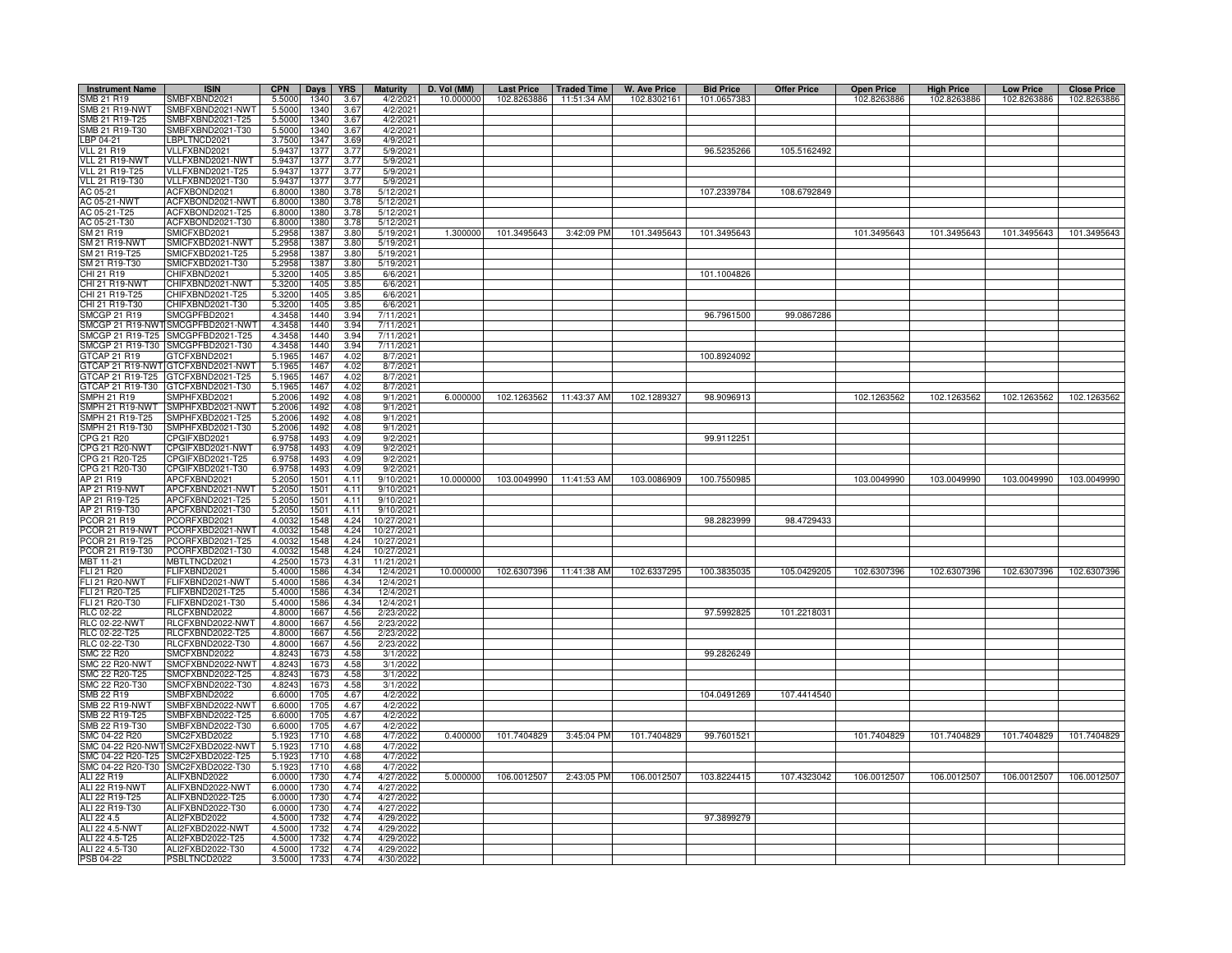| <b>Instrument Name</b> | <b>ISIN</b>                        | <b>CPN</b> | <b>Days</b> | <b>YRS</b> | <b>Maturity</b> | D. Vol (MM) | <b>Last Price</b>       | <b>Traded Time</b>      | W. Ave Price | <b>Bid Price</b> | <b>Offer Price</b> | <b>Open Price</b> | <b>High Price</b> | <b>Low Price</b> | <b>Close Price</b> |
|------------------------|------------------------------------|------------|-------------|------------|-----------------|-------------|-------------------------|-------------------------|--------------|------------------|--------------------|-------------------|-------------------|------------------|--------------------|
| SMB 21 R19             | MBFXBND2021                        | 5.5000     | 1340        | 3.67       | 4/2/2021        | 10.000000   | 102.8263886             | 11:51:34 AM             | 102.8302161  | 101.0657383      |                    | 102.8263886       | 102.8263886       | 102.8263886      | 102.8263886        |
| <b>SMB 21 R19-NWT</b>  | MBFXBND2021-NWT                    | 5.5000     | 1340        | 3.67       | 4/2/2021        |             |                         |                         |              |                  |                    |                   |                   |                  |                    |
| SMB 21 R19-T25         | MBFXBND2021-T25                    | 5.5000     | 1340        | 3.67       | 4/2/202         |             |                         |                         |              |                  |                    |                   |                   |                  |                    |
| SMB 21 R19-T30         | MBFXBND2021-T30                    | 5.5000     | 1340        | 3.67       | 4/2/202         |             |                         |                         |              |                  |                    |                   |                   |                  |                    |
| LBP 04-21              | BPLTNCD2021                        | 3.7500     | 134         | 3.69       | 4/9/2021        |             |                         |                         |              |                  |                    |                   |                   |                  |                    |
| <b>VLL 21 R19</b>      | VLLFXBND2021                       | 5.9437     | 1377        | 3.77       | 5/9/2021        |             |                         |                         |              | 96.5235266       | 105.5162492        |                   |                   |                  |                    |
| VLL 21 R19-NWT         | VLLFXBND2021-NWT                   | 5.9437     | 137         | 3.77       | 5/9/202         |             |                         |                         |              |                  |                    |                   |                   |                  |                    |
| VLL 21 R19-T25         | VLLFXBND2021-T25                   | 5.9437     | 137         | 3.77       | 5/9/2021        |             |                         |                         |              |                  |                    |                   |                   |                  |                    |
| VLL 21 R19-T30         | VLLFXBND2021-T30                   | 5.9437     | 137         | 3.77       | 5/9/2021        |             |                         |                         |              |                  |                    |                   |                   |                  |                    |
| AC 05-21               | ACFXBOND2021                       | 6.8000     | 1380        | 3.78       | 5/12/2021       |             |                         |                         |              | 107.2339784      | 108.6792849        |                   |                   |                  |                    |
| AC 05-21-NWT           | ACFXBOND2021-NWT                   | 6.8000     | 1380        | 3.78       | 5/12/2021       |             |                         |                         |              |                  |                    |                   |                   |                  |                    |
| AC 05-21-T25           | ACFXBOND2021-T25                   | 6.8000     | 1380        | 3.78       | 5/12/2021       |             |                         |                         |              |                  |                    |                   |                   |                  |                    |
| AC 05-21-T30           | ACFXBOND2021-T30                   | 6.8000     | 1380        | 3.78       | 5/12/202        |             |                         |                         |              |                  |                    |                   |                   |                  |                    |
| SM 21 R19              | SMICFXBD2021                       | 5.2958     | 1387        | 3.80       | 5/19/2021       | 1.300000    | 101.3495643             | 3:42:09 PM              | 101.3495643  | 101.3495643      |                    | 101.3495643       | 101.3495643       | 101.3495643      | 101.3495643        |
| <b>SM 21 R19-NWT</b>   | MICFXBD2021-NWT                    | 5.2958     | 138         | 3.80       | 5/19/202        |             |                         |                         |              |                  |                    |                   |                   |                  |                    |
| SM 21 R19-T25          | MICFXBD2021-T25                    | 5.2958     | 1387        | 3.80       | 5/19/202        |             |                         |                         |              |                  |                    |                   |                   |                  |                    |
| SM 21 R19-T30          | MICFXBD2021-T30                    | 5.2958     | 1387        | 3.80       | 5/19/202        |             |                         |                         |              |                  |                    |                   |                   |                  |                    |
| CHI 21 R19             | CHIFXBND2021                       | 5.3200     | 1405        | 3.85       | 6/6/202         |             |                         |                         |              | 101.1004826      |                    |                   |                   |                  |                    |
| <b>CHI 21 R19-NWT</b>  | CHIFXBND2021-NWT                   | 5.3200     | 1405        | 3.85       | 6/6/202         |             |                         |                         |              |                  |                    |                   |                   |                  |                    |
| CHI 21 R19-T25         | CHIFXBND2021-T25                   | 5.3200     | 1405        | 3.85       | 6/6/202         |             |                         |                         |              |                  |                    |                   |                   |                  |                    |
| CHI 21 R19-T30         | CHIFXBND2021-T30                   | 5.3200     | 1405        | 3.85       | 6/6/202         |             |                         |                         |              |                  |                    |                   |                   |                  |                    |
| <b>SMCGP 21 R19</b>    | MCGPFBD2021                        | 4.3458     | 1440        | 3.94       | 7/11/202        |             |                         |                         |              | 96.7961500       | 99.0867286         |                   |                   |                  |                    |
| SMCGP 21 R19-NWT       | SMCGPFBD2021-NWT                   | 4.3458     | 1440        | 3.94       | 7/11/2021       |             |                         |                         |              |                  |                    |                   |                   |                  |                    |
| SMCGP 21 R19-T25       | SMCGPFBD2021-T25                   | 4.3458     | 1440        | 3.94       | 7/11/2021       |             |                         |                         |              |                  |                    |                   |                   |                  |                    |
|                        | SMCGP 21 R19-T30 SMCGPFBD2021-T30  | 4.3458     | 1440        | 3.94       | 7/11/2021       |             |                         |                         |              |                  |                    |                   |                   |                  |                    |
| GTCAP 21 R19           | GTCFXBND2021                       | 5.1965     | 1467        | 4.02       | 8/7/2021        |             |                         |                         |              | 100.8924092      |                    |                   |                   |                  |                    |
|                        | GTCAP 21 R19-NWT GTCFXBND2021-NWT  | 5.1965     | 1467        | 4.02       | 8/7/202         |             |                         |                         |              |                  |                    |                   |                   |                  |                    |
| GTCAP 21 R19-T25       | GTCFXBND2021-T25                   | 5.1965     | 1467        | 4.02       | 8/7/202         |             |                         |                         |              |                  |                    |                   |                   |                  |                    |
| GTCAP 21 R19-T30       | GTCFXBND2021-T30                   | 5.1965     | 1467        | 4.02       | 8/7/202         |             |                         |                         |              |                  |                    |                   |                   |                  |                    |
| SMPH 21 R19            | MPHFXBD2021                        | 5.2006     | 1492        | 4.08       | 9/1/2021        | 6.000000    |                         | 102.1263562 11:43:37 AM | 102.1289327  | 98.9096913       |                    | 102.1263562       | 102.1263562       | 102.1263562      | 102.1263562        |
| SMPH 21 R19-NWT        | MPHFXBD2021-NWT                    | 5.2006     | 1492        | 4.08       | 9/1/2021        |             |                         |                         |              |                  |                    |                   |                   |                  |                    |
| SMPH 21 R19-T25        | MPHFXBD2021-T25                    | 5.2006     | 1492        | 4.08       | 9/1/202         |             |                         |                         |              |                  |                    |                   |                   |                  |                    |
| SMPH 21 R19-T30        | MPHFXBD2021-T30                    | 5.2006     | 1492        | 4.08       | 9/1/2021        |             |                         |                         |              |                  |                    |                   |                   |                  |                    |
| CPG 21 R20             | PGIFXBD2021                        | 6.9758     | 1493        | 4.09       | 9/2/202         |             |                         |                         |              | 99.9112251       |                    |                   |                   |                  |                    |
| CPG 21 R20-NWT         | CPGIFXBD2021-NWT                   | 6.9758     | 1493        | 4.09       | 9/2/202         |             |                         |                         |              |                  |                    |                   |                   |                  |                    |
| CPG 21 R20-T25         | CPGIFXBD2021-T25                   | 6.9758     | 149         | 4.09       | 9/2/202         |             |                         |                         |              |                  |                    |                   |                   |                  |                    |
| CPG 21 R20-T30         | CPGIFXBD2021-T30                   | 6.975      | 149         | 4.09       | 9/2/2021        |             |                         |                         |              |                  |                    |                   |                   |                  |                    |
| AP 21 R19              | APCFXBND2021                       | 5.2050     | 1501        | 4.11       | 9/10/2021       | 10.000000   |                         | 103.0049990 11:41:53 AM | 103.0086909  | 100.7550985      |                    | 103.0049990       | 103.0049990       | 103.0049990      | 103.0049990        |
| AP 21 R19-NWT          | APCFXBND2021-NWT                   | 5.2050     | 1501        | 4.11       | 9/10/2021       |             |                         |                         |              |                  |                    |                   |                   |                  |                    |
| AP 21 R19-T25          | APCFXBND2021-T25                   | 5.2050     | 1501        | 4.11       | 9/10/2021       |             |                         |                         |              |                  |                    |                   |                   |                  |                    |
| AP 21 R19-T30          | APCFXBND2021-T30                   | 5.2050     | 1501        | 4.11       | 9/10/2021       |             |                         |                         |              |                  |                    |                   |                   |                  |                    |
| PCOR 21 R19            | PCORFXBD2021                       | 4.0032     | 1548        | 4.24       | 10/27/2021      |             |                         |                         |              |                  | 98.4729433         |                   |                   |                  |                    |
| PCOR 21 R19-NWT        | PCORFXBD2021-NWT                   | 4.0032     | 1548        | 4.24       | 10/27/2021      |             |                         |                         |              | 98.2823999       |                    |                   |                   |                  |                    |
| PCOR 21 R19-T25        | PCORFXBD2021-T25                   | 4.0032     | 1548        | 4.24       | 10/27/202       |             |                         |                         |              |                  |                    |                   |                   |                  |                    |
|                        |                                    |            |             |            |                 |             |                         |                         |              |                  |                    |                   |                   |                  |                    |
| PCOR 21 R19-T30        | PCORFXBD2021-T30                   | 4.0032     | 1548        | 4.24       | 10/27/2021      |             |                         |                         |              |                  |                    |                   |                   |                  |                    |
| MBT 11-21              | MBTLTNCD2021                       | 4.2500     | 1573        | 4.31       | 11/21/202       |             |                         |                         |              |                  |                    |                   |                   |                  |                    |
| <b>FLI 21 R20</b>      | FLIFXBND2021                       | 5.4000     | 1586        | 4.34       | 12/4/2021       | 10.000000   | 102.6307396 11:41:38 AM |                         | 102.6337295  | 100.3835035      | 105.0429205        | 102.6307396       | 102.6307396       | 102.6307396      | 102.6307396        |
| FLI 21 R20-NWT         | FLIFXBND2021-NWT                   | 5.4000     | 1586        | 4.34       | 12/4/2021       |             |                         |                         |              |                  |                    |                   |                   |                  |                    |
| FLI 21 R20-T25         | FLIFXBND2021-T25                   | 5.400      | 1586        | 4.34       | 12/4/2021       |             |                         |                         |              |                  |                    |                   |                   |                  |                    |
| FLI 21 R20-T30         | FLIFXBND2021-T30                   | 5.4000     | 1586        | 4.34       | 12/4/2021       |             |                         |                         |              |                  |                    |                   |                   |                  |                    |
| RLC 02-22              | RLCFXBND2022                       | 4.8000     | 1667        | 4.56       | 2/23/2022       |             |                         |                         |              | 97.5992825       | 101.2218031        |                   |                   |                  |                    |
| <b>RLC 02-22-NWT</b>   | RLCFXBND2022-NWT                   | 4.8000     | 1667        | 4.56       | 2/23/2022       |             |                         |                         |              |                  |                    |                   |                   |                  |                    |
| RLC 02-22-T25          | RLCFXBND2022-T25                   | 4.8000     | 1667        | 4.56       | 2/23/2022       |             |                         |                         |              |                  |                    |                   |                   |                  |                    |
| RLC 02-22-T30          | RLCFXBND2022-T30                   | 4.8000     | 1667        | 4.56       | 2/23/202        |             |                         |                         |              |                  |                    |                   |                   |                  |                    |
| <b>SMC 22 R20</b>      | MCFXBND2022                        | 4.8243     | 1673        | 4.58       | 3/1/202         |             |                         |                         |              | 99.2826249       |                    |                   |                   |                  |                    |
| <b>SMC 22 R20-NWT</b>  | MCFXBND2022-NWT                    | 4.8243     | 1673        | 4.58       | 3/1/202         |             |                         |                         |              |                  |                    |                   |                   |                  |                    |
| SMC 22 R20-T25         | MCFXBND2022-T25                    | 4.8243     | 167         | 4.58       | 3/1/202         |             |                         |                         |              |                  |                    |                   |                   |                  |                    |
| SMC 22 R20-T30         | MCFXBND2022-T30                    | 4.8243     | 1673        | 4.58       | 3/1/2022        |             |                         |                         |              |                  |                    |                   |                   |                  |                    |
| SMB 22 R19             | MBFXBND2022                        | 6.6000     | 1705        | 4.67       | 4/2/202         |             |                         |                         |              | 104.0491269      | 107.4414540        |                   |                   |                  |                    |
| <b>SMB 22 R19-NWT</b>  | MBFXBND2022-NWT                    | 6.6000     | 1705        | 4.67       | 4/2/2022        |             |                         |                         |              |                  |                    |                   |                   |                  |                    |
| SMB 22 R19-T25         | MBFXBND2022-T25                    | 6.6000     | 1705        | 4.67       | 4/2/2022        |             |                         |                         |              |                  |                    |                   |                   |                  |                    |
| SMB 22 R19-T30         | MBFXBND2022-T30                    | 6.6000     | 1705        | 4.67       | 4/2/2022        |             |                         |                         |              |                  |                    |                   |                   |                  |                    |
| SMC 04-22 R20          | MC2FXBD2022                        | 5.1923     | 1710        | 4.68       | 4/7/2022        | 0.400000    | 101.7404829             | 3:45:04 PM              | 101.7404829  | 99.7601521       |                    | 101.7404829       | 101.7404829       | 101.7404829      | 101.7404829        |
| SMC 04-22 R20-NW       | SMC2FXBD2022-NWT                   | 5.1923     | 1710        | 4.68       | 4/7/2022        |             |                         |                         |              |                  |                    |                   |                   |                  |                    |
| SMC 04-22 R20-T25      | SMC2FXBD2022-T25                   | 5.1923     | 1710        | 4.68       | 4/7/2022        |             |                         |                         |              |                  |                    |                   |                   |                  |                    |
|                        | SMC 04-22 R20-T30 SMC2FXBD2022-T30 | 5.1923     | 1710        | 4.68       | 4/7/2022        |             |                         |                         |              |                  |                    |                   |                   |                  |                    |
| ALI 22 R19             | ALIFXBND2022                       | 6.0000     | 1730        | 4.74       | 4/27/2022       | 5.000000    | 106.0012507             | 2:43:05 PM              | 106.0012507  | 103.8224415      | 107.4323042        | 106.0012507       | 106.0012507       | 106.0012507      | 106.0012507        |
| ALI 22 R19-NWT         | ALIFXBND2022-NWT                   | 6.0000     | 1730        | 4.74       | 4/27/2022       |             |                         |                         |              |                  |                    |                   |                   |                  |                    |
| ALI 22 R19-T25         | ALIFXBND2022-T25                   | 6.0000     | 1730        | 4.74       | 4/27/2022       |             |                         |                         |              |                  |                    |                   |                   |                  |                    |
| ALI 22 R19-T30         | ALIFXBND2022-T30                   | 6.0000     | 1730        | 4.74       | 4/27/202        |             |                         |                         |              |                  |                    |                   |                   |                  |                    |
| ALI 22 4.5             | ALI2FXBD2022                       | 4.5000     | 1732        | 4.74       | 4/29/2022       |             |                         |                         |              | 97.3899279       |                    |                   |                   |                  |                    |
| ALI 22 4.5-NWT         | ALI2FXBD2022-NWT                   | 4.5000     | 1732        | 4.74       | 4/29/2022       |             |                         |                         |              |                  |                    |                   |                   |                  |                    |
| ALI 22 4.5-T25         | ALI2FXBD2022-T25                   | 4.5000     | 1732        | 4.74       | 4/29/2022       |             |                         |                         |              |                  |                    |                   |                   |                  |                    |
| ALI 22 4.5-T30         | ALI2FXBD2022-T30                   | 4.5000     | 1732        | 4.74       | 4/29/2022       |             |                         |                         |              |                  |                    |                   |                   |                  |                    |
| PSB 04-22              | PSBLTNCD2022                       | 3.5000     | 1733        | 4.74       | 4/30/2022       |             |                         |                         |              |                  |                    |                   |                   |                  |                    |
|                        |                                    |            |             |            |                 |             |                         |                         |              |                  |                    |                   |                   |                  |                    |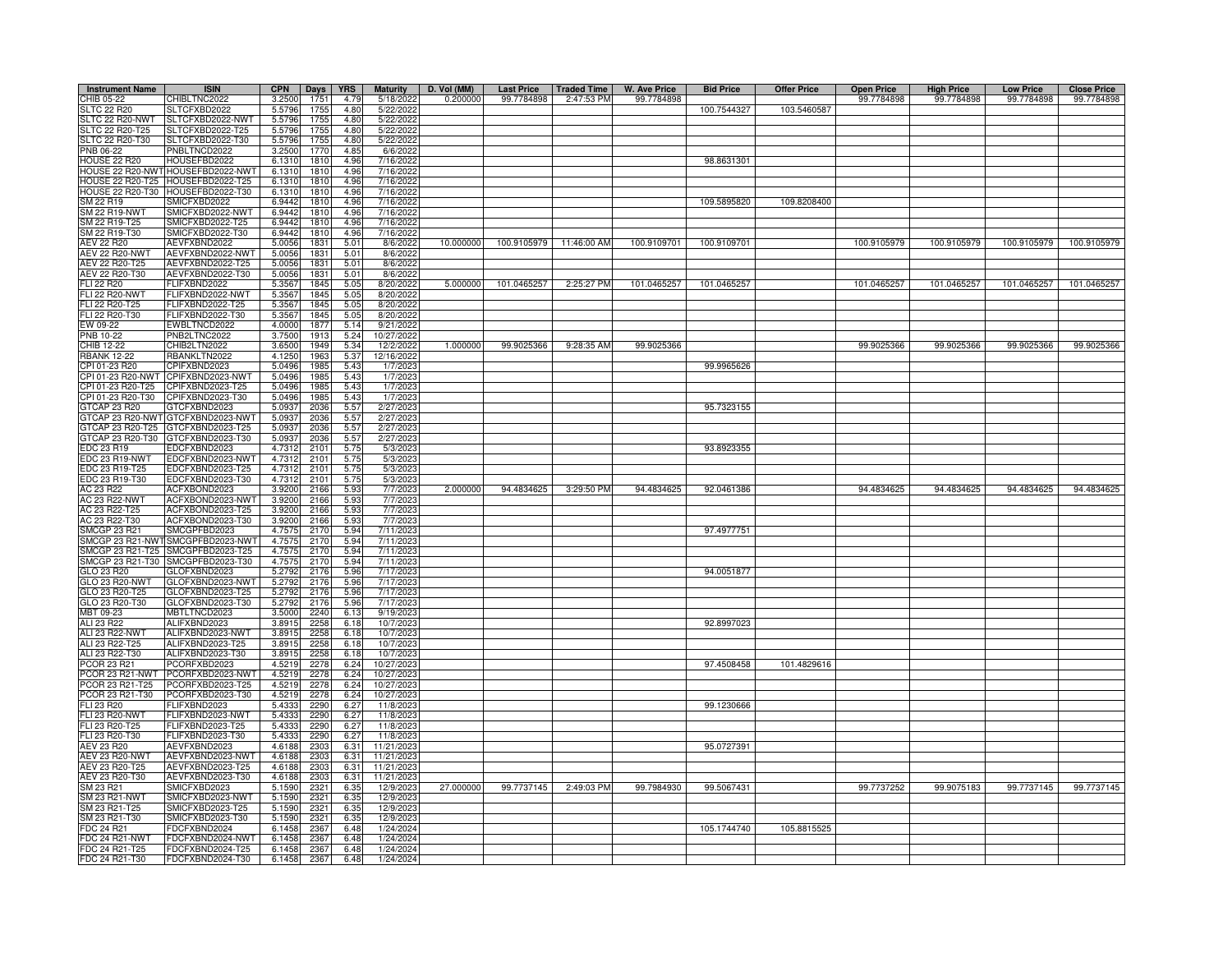| <b>Instrument Name</b>                | <b>ISIN</b>                          | <b>CPN</b>       | Days         | <b>YRS</b>   | <b>Maturity</b>        | D. Vol (MM) | <b>Last Price</b> | <b>Traded Time</b>      | <b>W. Ave Price</b> | <b>Bid Price</b> | <b>Offer Price</b> | <b>Open Price</b> | <b>High Price</b> | <b>Low Price</b> | <b>Close Price</b> |
|---------------------------------------|--------------------------------------|------------------|--------------|--------------|------------------------|-------------|-------------------|-------------------------|---------------------|------------------|--------------------|-------------------|-------------------|------------------|--------------------|
| CHIB 05-22                            | CHIBLTNC2022                         | 3.2500           | 1751         | 4.79         | 5/18/2022              | 0.200000    | 99.7784898        | 2:47:53 PM              | 99.7784898          |                  |                    | 99.7784898        | 99.7784898        | 99.7784898       | 99.7784898         |
| <b>SLTC 22 R20</b>                    | SLTCFXBD2022                         | 5.5796           | 1755         | 4.80         | 5/22/202               |             |                   |                         |                     | 100.7544327      | 103.5460587        |                   |                   |                  |                    |
| SLTC 22 R20-NWT<br>SLTC 22 R20-T25    | LTCFXBD2022-NWT<br>SLTCFXBD2022-T25  | 5.5796<br>5.5796 | 1755<br>1755 | 4.80<br>4.80 | 5/22/2022<br>5/22/202  |             |                   |                         |                     |                  |                    |                   |                   |                  |                    |
| SLTC 22 R20-T30                       | SLTCFXBD2022-T30                     | 5.5796           | 1755         | 4.80         | 5/22/202               |             |                   |                         |                     |                  |                    |                   |                   |                  |                    |
| PNB 06-22                             | NBLTNCD2022                          | 3.2500           | 1770         | 4.85         | 6/6/202                |             |                   |                         |                     |                  |                    |                   |                   |                  |                    |
| <b>HOUSE 22 R20</b>                   | HOUSEFBD2022                         | 6.1310           | 1810         | 4.96         | 7/16/202               |             |                   |                         |                     | 98.8631301       |                    |                   |                   |                  |                    |
| HOUSE 22 R20-NW                       | HOUSEFBD2022-NWT                     | 6.1310           | 1810         | 4.96         | 7/16/2022              |             |                   |                         |                     |                  |                    |                   |                   |                  |                    |
| HOUSE 22 R20-T25                      | OUSEFBD2022-T25                      | 6.1310           | 1810         | 4.96         | 7/16/202               |             |                   |                         |                     |                  |                    |                   |                   |                  |                    |
| HOUSE 22 R20-T30<br>SM 22 R19         | HOUSEFBD2022-T30<br>MICFXBD2022      | 6.1310<br>6.9442 | 1810<br>1810 | 4.96<br>4.96 | 7/16/2022<br>7/16/2022 |             |                   |                         |                     | 109.5895820      | 109.8208400        |                   |                   |                  |                    |
| SM 22 R19-NWT                         | MICFXBD2022-NWT                      | 6.9442           | 1810         | 4.96         | 7/16/202               |             |                   |                         |                     |                  |                    |                   |                   |                  |                    |
| SM 22 R19-T25                         | SMICFXBD2022-T25                     | 6.9442           | 1810         | 4.96         | 7/16/2022              |             |                   |                         |                     |                  |                    |                   |                   |                  |                    |
| SM 22 R19-T30                         | SMICFXBD2022-T30                     | 6.9442           | 1810         | 4.96         | 7/16/2022              |             |                   |                         |                     |                  |                    |                   |                   |                  |                    |
| AEV 22 R20                            | AEVFXBND2022                         | 5.0056           | 1831         | 5.01         | 8/6/2022               | 10.000000   |                   | 100.9105979 11:46:00 AM | 100.9109701         | 100.9109701      |                    | 100.9105979       | 100.9105979       | 100.9105979      | 100.9105979        |
| <b>AEV 22 R20-NWT</b>                 | AEVFXBND2022-NWT                     | 5.0056           | 1831         | 5.01         | 8/6/202                |             |                   |                         |                     |                  |                    |                   |                   |                  |                    |
| AEV 22 R20-T25                        | AEVFXBND2022-T25<br>AEVFXBND2022-T30 | 5.0056<br>5.0056 | 1831<br>1831 | 5.01<br>5.01 | 8/6/202                |             |                   |                         |                     |                  |                    |                   |                   |                  |                    |
| AEV 22 R20-T30<br><b>FLI 22 R20</b>   | <b>LIFXBND2022</b>                   | 5.3567           | 1845         | 5.05         | 8/6/202<br>8/20/2022   | 5.000000    | 101.0465257       | 2:25:27 PM              | 101.0465257         | 101.0465257      |                    | 101.0465257       | 101.0465257       | 101.0465257      | 101.0465257        |
| <b>FLI 22 R20-NWT</b>                 | <b>LIFXBND2022-NWT</b>               | 5.3567           | 1845         | 5.05         | 8/20/2022              |             |                   |                         |                     |                  |                    |                   |                   |                  |                    |
| FLI 22 R20-T25                        | ELIFXBND2022-T25                     | 5.3567           | 1845         | 5.05         | 8/20/2022              |             |                   |                         |                     |                  |                    |                   |                   |                  |                    |
| FLI 22 R20-T30                        | LIFXBND2022-T30                      | 5.3567           | 1845         | 5.05         | 8/20/2022              |             |                   |                         |                     |                  |                    |                   |                   |                  |                    |
| EW 09-22                              | WBLTNCD2022                          | 4.0000           | 1877         | 5.14         | 9/21/202               |             |                   |                         |                     |                  |                    |                   |                   |                  |                    |
| PNB 10-22                             | PNB2LTNC2022                         | 3.7500           | 1913         | 5.24         | 10/27/202              |             |                   |                         |                     |                  |                    |                   |                   |                  |                    |
| CHIB 12-22                            | CHIB2LTN2022                         | 3.6500           | 1949         | 5.34         | 12/2/2022              | 1.000000    | 99.9025366        | 9:28:35 AM              | 99.9025366          |                  |                    | 99.9025366        | 99.9025366        | 99.9025366       | 99.9025366         |
| <b>RBANK 12-22</b><br>CPI 01-23 R20   | <b>BANKLTN2022</b><br>CPIFXBND2023   | 4.1250<br>5.0496 | 1963<br>1985 | 5.37<br>5.43 | 12/16/2022<br>1/7/202  |             |                   |                         |                     | 99.9965626       |                    |                   |                   |                  |                    |
| CPI 01-23 R20-NWT                     | <b>CPIFXBND2023-NWT</b>              | 5.0496           | 1985         | 5.43         | 1/7/202                |             |                   |                         |                     |                  |                    |                   |                   |                  |                    |
| CPI 01-23 R20-T25                     | CPIFXBND2023-T25                     | 5.0496           | 1985         | 5.43         | 1/7/202                |             |                   |                         |                     |                  |                    |                   |                   |                  |                    |
| CPI 01-23 R20-T30                     | CPIFXBND2023-T30                     | 5.0496           | 1985         | 5.43         | 1/7/202                |             |                   |                         |                     |                  |                    |                   |                   |                  |                    |
| GTCAP 23 R20                          | GTCFXBND2023                         | 5.0937           | 2036         | 5.57         | 2/27/202               |             |                   |                         |                     | 95.7323155       |                    |                   |                   |                  |                    |
| <b>STCAP 23 R20-NWT</b>               | GTCFXBND2023-NWT                     | 5.0937           | 2036         | 5.57         | 2/27/202               |             |                   |                         |                     |                  |                    |                   |                   |                  |                    |
| GTCAP 23 R20-T25<br>GTCAP 23 R20-T30  | GTCFXBND2023-T25<br>TCFXBND2023-T30  | 5.0937<br>5.0937 | 2036<br>2036 | 5.57         | 2/27/2023<br>2/27/202  |             |                   |                         |                     |                  |                    |                   |                   |                  |                    |
| EDC 23 R19                            | DCFXBND2023                          | 4.731            | 2101         | 5.57<br>5.75 | 5/3/202                |             |                   |                         |                     | 93.8923355       |                    |                   |                   |                  |                    |
| DC 23 R19-NWT                         | EDCFXBND2023-NWT                     | 4.731            | 2101         | 5.75         | 5/3/202                |             |                   |                         |                     |                  |                    |                   |                   |                  |                    |
| DC 23 R19-T25                         | EDCFXBND2023-T25                     | 4.731            | 2101         | 5.75         | 5/3/202                |             |                   |                         |                     |                  |                    |                   |                   |                  |                    |
| EDC 23 R19-T30                        | EDCFXBND2023-T30                     | 4.7312           | 2101         | 5.75         | 5/3/2023               |             |                   |                         |                     |                  |                    |                   |                   |                  |                    |
| AC 23 R22                             | ACFXBOND2023                         | 3.9200           | 2166         | 5.93         | 7/7/2023               | 2.000000    | 94.4834625        | 3:29:50 PM              | 94.4834625          | 92.0461386       |                    | 94.4834625        | 94.4834625        | 94.4834625       | 94.4834625         |
| <b>AC 23 R22-NWT</b>                  | ACFXBOND2023-NWT<br>ACFXBOND2023-T25 | 3.9200           | 2166         | 5.93<br>5.93 | 7/7/2023<br>7/7/2023   |             |                   |                         |                     |                  |                    |                   |                   |                  |                    |
| AC 23 R22-T25<br>AC 23 R22-T30        | ACFXBOND2023-T30                     | 3.9200<br>3.9200 | 2166<br>2166 | 5.93         | 7/7/2023               |             |                   |                         |                     |                  |                    |                   |                   |                  |                    |
| MCGP 23 R21                           | MCGPFBD2023                          | 4.7575           | 2170         | 5.94         | 7/11/2023              |             |                   |                         |                     | 97.4977751       |                    |                   |                   |                  |                    |
| MCGP 23 R21-NW                        | MCGPFBD2023-NWT                      | 4.757            | 217          | 5.94         | 7/11/2023              |             |                   |                         |                     |                  |                    |                   |                   |                  |                    |
| MCGP 23 R21-T25                       | MCGPFBD2023-T25                      | 4.7575           | 2170         | 5.94         | 7/11/2023              |             |                   |                         |                     |                  |                    |                   |                   |                  |                    |
| MCGP 23 R21-T30                       | MCGPFBD2023-T30                      | 4.7575           | 2170         | 5.94         | 7/11/2023              |             |                   |                         |                     |                  |                    |                   |                   |                  |                    |
| GLO 23 R20<br><b>GLO 23 R20-NWT</b>   | GLOFXBND2023<br>GLOFXBND2023-NWT     | 5.2792           | 2176<br>2176 | 5.96<br>5.96 | 7/17/202<br>7/17/202   |             |                   |                         |                     | 94.0051877       |                    |                   |                   |                  |                    |
| GLO 23 R20-T25                        | GLOFXBND2023-T25                     | 5.2792<br>5.2792 | 2176         | 5.96         | 7/17/202               |             |                   |                         |                     |                  |                    |                   |                   |                  |                    |
| GLO 23 R20-T30                        | GLOFXBND2023-T30                     | 5.2792           | 2176         | 5.96         | 7/17/202               |             |                   |                         |                     |                  |                    |                   |                   |                  |                    |
| MBT 09-23                             | MBTLTNCD2023                         | 3.5000           | 2240         | 6.13         | 9/19/202               |             |                   |                         |                     |                  |                    |                   |                   |                  |                    |
| ALI 23 R22                            | ALIFXBND2023                         | 3.8915           | 2258         | 6.18         | 10/7/202               |             |                   |                         |                     | 92.8997023       |                    |                   |                   |                  |                    |
| ALI 23 R22-NWT                        | ALIFXBND2023-NWT                     | 3.8915           | 2258         | 6.18         | 10/7/2023              |             |                   |                         |                     |                  |                    |                   |                   |                  |                    |
| ALI 23 R22-T25                        | ALIFXBND2023-T25                     | 3.8915           | 2258         | 6.18         | 10/7/202               |             |                   |                         |                     |                  |                    |                   |                   |                  |                    |
| ALI 23 R22-T30<br>PCOR 23 R21         | ALIFXBND2023-T30<br>CORFXBD2023      | 3.8915<br>4.5219 | 2258<br>2278 | 6.18<br>6.24 | 10/7/202<br>10/27/202  |             |                   |                         |                     | 97.4508458       | 101.4829616        |                   |                   |                  |                    |
| PCOR 23 R21-NWT                       | CORFXBD2023-NWT                      | 4.5219           | 2278         | 6.24         | 10/27/202              |             |                   |                         |                     |                  |                    |                   |                   |                  |                    |
| PCOR 23 R21-T25                       | PCORFXBD2023-T25                     | 4.5219           | 2278         | 6.24         | 10/27/202              |             |                   |                         |                     |                  |                    |                   |                   |                  |                    |
| PCOR 23 R21-T30                       | PCORFXBD2023-T30                     | 4.5219           | 2278         | 6.24         | 10/27/202              |             |                   |                         |                     |                  |                    |                   |                   |                  |                    |
| FLI 23 R20                            | FLIFXBND2023                         | 5.4333           | 2290         | 6.27         | 11/8/202               |             |                   |                         |                     | 99.1230666       |                    |                   |                   |                  |                    |
| <b>FLI 23 R20-NWT</b>                 | FLIFXBND2023-NWT                     | 5.4333           | 2290         | 6.27         | 11/8/202               |             |                   |                         |                     |                  |                    |                   |                   |                  |                    |
| FLI 23 R20-T25<br>FLI 23 R20-T30      | -LIFXBND2023-T25<br>LIFXBND2023-T30  | 5.4333<br>5.4333 | 2290<br>2290 | 6.27<br>6.27 | 11/8/202<br>11/8/202   |             |                   |                         |                     |                  |                    |                   |                   |                  |                    |
| AEV 23 R20                            | AEVFXBND2023                         | 4.6188           | 2303         | 6.31         | 11/21/202              |             |                   |                         |                     | 95.0727391       |                    |                   |                   |                  |                    |
| <b>AEV 23 R20-NWT</b>                 | AEVFXBND2023-NWT                     | 4.6188           | 2303         | 6.31         | 11/21/2023             |             |                   |                         |                     |                  |                    |                   |                   |                  |                    |
| AEV 23 R20-T25                        | AEVFXBND2023-T25                     | 4.6188           | 2303         | 6.31         | 11/21/2023             |             |                   |                         |                     |                  |                    |                   |                   |                  |                    |
| AEV 23 R20-T30                        | AEVFXBND2023-T30                     | 4.6188           | 2303         | 6.31         | 11/21/2023             |             |                   |                         |                     |                  |                    |                   |                   |                  |                    |
| SM 23 R21                             | SMICFXBD2023                         | 5.1590           | 2321         | 6.35         | 12/9/2023              | 27.000000   | 99.7737145        | 2:49:03 PM              | 99.7984930          | 99.5067431       |                    | 99.7737252        | 99.9075183        | 99.7737145       | 99.7737145         |
| <b>SM 23 R21-NWT</b><br>SM 23 R21-T25 | MICFXBD2023-NWT<br>MICFXBD2023-T25   | 5.1590<br>5.1590 | 2321<br>2321 | 6.35<br>6.35 | 12/9/202<br>12/9/202   |             |                   |                         |                     |                  |                    |                   |                   |                  |                    |
| SM 23 R21-T30                         | MICFXBD2023-T30                      | 5.1590           | 2321         | 6.35         | 12/9/202               |             |                   |                         |                     |                  |                    |                   |                   |                  |                    |
| DC 24 R21                             | DCFXBND2024                          | 6.1458           | 2367         | 6.48         | 1/24/2024              |             |                   |                         |                     | 105.1744740      | 105.8815525        |                   |                   |                  |                    |
| FDC 24 R21-NW                         | DCFXBND2024-NWT                      | 6.1458           | 2367         | 6.48         | 1/24/202               |             |                   |                         |                     |                  |                    |                   |                   |                  |                    |
| FDC 24 R21-T25                        | DCFXBND2024-T25                      | 6.1458           | 2367         | 6.48         | 1/24/202               |             |                   |                         |                     |                  |                    |                   |                   |                  |                    |
| FDC 24 R21-T30                        | FDCFXBND2024-T30                     | 6.1458           | 2367         | 6.48         | 1/24/2024              |             |                   |                         |                     |                  |                    |                   |                   |                  |                    |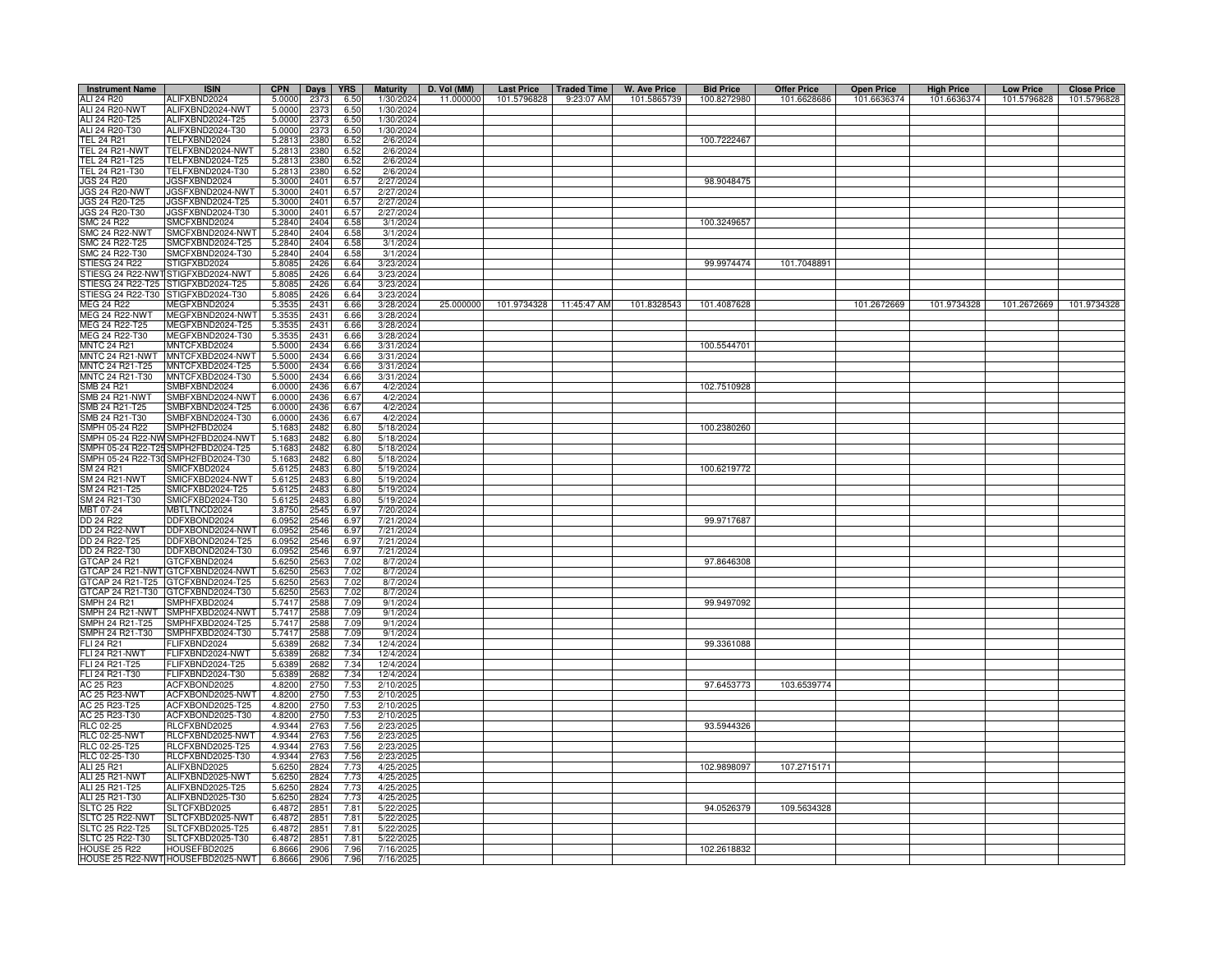| <b>Instrument Name</b>                     | <b>ISIN</b>                                       | <b>CPN</b>       | Days         | <b>YRS</b>    | <b>Maturity</b>        | D. Vol (MM) | <b>Last Price</b> | <b>Traded Time</b> | <b>W. Ave Price</b> | <b>Bid Price</b> | <b>Offer Price</b> | <b>Open Price</b> | <b>High Price</b> | <b>Low Price</b> | <b>Close Price</b> |
|--------------------------------------------|---------------------------------------------------|------------------|--------------|---------------|------------------------|-------------|-------------------|--------------------|---------------------|------------------|--------------------|-------------------|-------------------|------------------|--------------------|
| ALI 24 R20                                 | ALIFXBND2024                                      | 5.0000           | 2373         | 6.50          | 1/30/202               | 11.000000   | 101.5796828       | 9:23:07 AM         | 101.5865739         | 100.8272980      | 101.6628686        | 101.6636374       | 101.6636374       | 101.5796828      | 101.5796828        |
| <b>ALI 24 R20-NWT</b>                      | ALIFXBND2024-NWT                                  | 5.0000           | 2373         | 6.50          | 1/30/2024              |             |                   |                    |                     |                  |                    |                   |                   |                  |                    |
| ALI 24 R20-T25                             | ALIFXBND2024-T25                                  | 5.0000           | 2373         | 6.50          | 1/30/2024              |             |                   |                    |                     |                  |                    |                   |                   |                  |                    |
| ALI 24 R20-T30                             | ALIFXBND2024-T30                                  | 5.0000           | 2373         | 6.50          | 1/30/2024              |             |                   |                    |                     |                  |                    |                   |                   |                  |                    |
| <b>TEL 24 R21</b><br><b>TEL 24 R21-NWT</b> | FELFXBND2024<br>TELFXBND2024-NWT                  | 5.2813<br>5.2813 | 2380<br>2380 | 6.52<br>6.52  | 2/6/2024<br>2/6/2024   |             |                   |                    |                     | 100.7222467      |                    |                   |                   |                  |                    |
| TEL 24 R21-T25                             | TELFXBND2024-T25                                  | 5.2813           | 2380         | 6.52          | 2/6/2024               |             |                   |                    |                     |                  |                    |                   |                   |                  |                    |
| TEL 24 R21-T30                             | TELFXBND2024-T30                                  | 5.2813           | 2380         | 6.52          | 2/6/2024               |             |                   |                    |                     |                  |                    |                   |                   |                  |                    |
| JGS 24 R20                                 | JGSFXBND2024                                      | 5.3000           | 2401         | 6.57          | 2/27/2024              |             |                   |                    |                     | 98.9048475       |                    |                   |                   |                  |                    |
| <b>JGS 24 R20-NWT</b>                      | JGSFXBND2024-NWT                                  | 5.3000           | 2401         | 6.57          | 2/27/2024              |             |                   |                    |                     |                  |                    |                   |                   |                  |                    |
| JGS 24 R20-T25                             | JGSFXBND2024-T25                                  | 5.3000           | 2401         | 6.57          | 2/27/2024              |             |                   |                    |                     |                  |                    |                   |                   |                  |                    |
| JGS 24 R20-T30                             | JGSFXBND2024-T30                                  | 5.3000           | 2401         | 6.57          | 2/27/2024              |             |                   |                    |                     |                  |                    |                   |                   |                  |                    |
| SMC 24 R22                                 | MCFXBND2024                                       | 5.2840           | 2404         | 6.58          | 3/1/2024               |             |                   |                    |                     | 100.3249657      |                    |                   |                   |                  |                    |
| SMC 24 R22-NWT                             | SMCFXBND2024-NWT                                  | 5.2840           | 2404         | 6.58          | 3/1/2024               |             |                   |                    |                     |                  |                    |                   |                   |                  |                    |
| SMC 24 R22-T25                             | SMCFXBND2024-T25                                  | 5.2840           | 2404         | 6.58          | 3/1/2024               |             |                   |                    |                     |                  |                    |                   |                   |                  |                    |
| SMC 24 R22-T30<br>STIESG 24 R22            | SMCFXBND2024-T30<br>STIGFXBD2024                  | 5.2840<br>5.8085 | 2404         | 6.58<br>6.64  | 3/1/2024<br>3/23/2024  |             |                   |                    |                     | 99.9974474       | 101.7048891        |                   |                   |                  |                    |
| TIESG 24 R22-NW                            | STIGFXBD2024-NWT                                  | 5.8085           | 2426<br>2426 | 6.64          | 3/23/2024              |             |                   |                    |                     |                  |                    |                   |                   |                  |                    |
| STIESG 24 R22-T25                          | STIGFXBD2024-T25                                  | 5.8085           | 2426         | 6.64          | 3/23/2024              |             |                   |                    |                     |                  |                    |                   |                   |                  |                    |
| STIESG 24 R22-T30                          | STIGFXBD2024-T30                                  | 5.8085           | 2426         | 6.64          | 3/23/2024              |             |                   |                    |                     |                  |                    |                   |                   |                  |                    |
| MEG 24 R22                                 | MEGFXBND2024                                      | 5.3535           | 243          | 6.66          | 3/28/2024              | 25.000000   | 101.9734328       | 11:45:47 AM        | 101.8328543         | 101.4087628      |                    | 101.2672669       | 101.9734328       | 101.2672669      | 101.9734328        |
| MEG 24 R22-NWT                             | MEGFXBND2024-NWT                                  | 5.3535           | 2431         | 6.66          | 3/28/2024              |             |                   |                    |                     |                  |                    |                   |                   |                  |                    |
| MEG 24 R22-T25                             | MEGFXBND2024-T25                                  | 5.3535           | 2431         | 6.66          | 3/28/2024              |             |                   |                    |                     |                  |                    |                   |                   |                  |                    |
| MEG 24 R22-T30                             | MEGFXBND2024-T30                                  | 5.3535           | 2431         | 6.66          | 3/28/2024              |             |                   |                    |                     |                  |                    |                   |                   |                  |                    |
| <b>MNTC 24 R21</b>                         | MNTCFXBD2024                                      | 5.5000           | 2434         | 6.66          | 3/31/2024              |             |                   |                    |                     | 100.5544701      |                    |                   |                   |                  |                    |
| MNTC 24 R21-NWT                            | MNTCFXBD2024-NWT                                  | 5.5000           | 2434         | 6.66          | 3/31/2024              |             |                   |                    |                     |                  |                    |                   |                   |                  |                    |
| MNTC 24 R21-T25<br>MNTC 24 R21-T30         | MNTCFXBD2024-T25<br>MNTCFXBD2024-T30              | 5.5000<br>5.5000 | 2434<br>2434 | 6.66<br>6.66  | 3/31/2024<br>3/31/2024 |             |                   |                    |                     |                  |                    |                   |                   |                  |                    |
| SMB 24 R21                                 | SMBFXBND2024                                      | 6.0000           | 2436         | 6.67          | 4/2/2024               |             |                   |                    |                     | 102.7510928      |                    |                   |                   |                  |                    |
| SMB 24 R21-NWT                             | SMBFXBND2024-NWT                                  | 6.0000           | 2436         | 6.67          | 4/2/2024               |             |                   |                    |                     |                  |                    |                   |                   |                  |                    |
| SMB 24 R21-T25                             | SMBFXBND2024-T25                                  | 6.0000           | 2436         | 6.67          | 4/2/2024               |             |                   |                    |                     |                  |                    |                   |                   |                  |                    |
| SMB 24 R21-T30                             | MBFXBND2024-T30                                   | 6.0000           | 2436         | 6.67          | 4/2/2024               |             |                   |                    |                     |                  |                    |                   |                   |                  |                    |
| SMPH 05-24 R22                             | MPH2FBD2024                                       | 5.1683           | 2482         | 6.80          | 5/18/2024              |             |                   |                    |                     | 100.2380260      |                    |                   |                   |                  |                    |
| SMPH 05-24 R22-NW                          | MPH2FBD2024-NWT                                   | 5.1683           | 2482         | 6.80          | 5/18/2024              |             |                   |                    |                     |                  |                    |                   |                   |                  |                    |
| SMPH 05-24 R22-T25                         | MPH2FBD2024-T25                                   | 5.1683           | 2482         | 6.80          | 5/18/2024              |             |                   |                    |                     |                  |                    |                   |                   |                  |                    |
| SMPH 05-24 R22-T30                         | SMPH2FBD2024-T30                                  | 5.1683           | 2482         | 6.80          | 5/18/2024              |             |                   |                    |                     |                  |                    |                   |                   |                  |                    |
| SM 24 R21<br>SM 24 R21-NWT                 | <b>MICFXBD2024</b><br>MICFXBD2024-NWT             | 5.6125<br>5.6125 | 2483<br>2483 | 6.80<br>6.80  | 5/19/2024<br>5/19/2024 |             |                   |                    |                     | 100.6219772      |                    |                   |                   |                  |                    |
| SM 24 R21-T25                              | MICFXBD2024-T25                                   | 5.612            | 2483         | 6.80          | 5/19/2024              |             |                   |                    |                     |                  |                    |                   |                   |                  |                    |
| SM 24 R21-T30                              | SMICFXBD2024-T30                                  | 5.6125           | 2483         | 6.80          | 5/19/2024              |             |                   |                    |                     |                  |                    |                   |                   |                  |                    |
| MBT 07-24                                  | MBTLTNCD2024                                      | 3.8750           | 2545         | 6.97          | 7/20/2024              |             |                   |                    |                     |                  |                    |                   |                   |                  |                    |
| DD 24 R22                                  | DDFXBOND2024                                      | 6.0952           | 2546         | 6.97          | 7/21/2024              |             |                   |                    |                     | 99.9717687       |                    |                   |                   |                  |                    |
| <b>DD 24 R22-NWT</b>                       | DDFXBOND2024-NWT                                  | 6.0952           | 2546         | 6.97          | 7/21/2024              |             |                   |                    |                     |                  |                    |                   |                   |                  |                    |
| DD 24 R22-T25                              | DDFXBOND2024-T25                                  | 6.0952           | 2546         | 6.97          | 7/21/2024              |             |                   |                    |                     |                  |                    |                   |                   |                  |                    |
| DD 24 R22-T30                              | DDFXBOND2024-T30                                  | 6.0952           | 2546         | 6.97          | 7/21/2024              |             |                   |                    |                     |                  |                    |                   |                   |                  |                    |
| GTCAP 24 R21<br>GTCAP 24 R21-NW            | <b>STCFXBND2024</b><br>GTCFXBND2024-NWT           | 5.6250<br>5.6250 | 2563<br>2563 | 7.02<br>7.02  | 8/7/2024<br>8/7/2024   |             |                   |                    |                     | 97.8646308       |                    |                   |                   |                  |                    |
| GTCAP 24 R21-T25                           | GTCFXBND2024-T25                                  | 5.6250           | 2563         | 7.02          | 8/7/2024               |             |                   |                    |                     |                  |                    |                   |                   |                  |                    |
| GTCAP 24 R21-T30                           | TCFXBND2024-T30                                   | 5.6250           | 2563         | 7.01          | 8/7/2024               |             |                   |                    |                     |                  |                    |                   |                   |                  |                    |
| SMPH 24 R21                                | MPHFXBD2024                                       | 5.7417           | 2588         | 7.09          | 9/1/2024               |             |                   |                    |                     | 99.9497092       |                    |                   |                   |                  |                    |
| SMPH 24 R21-NWT                            | MPHFXBD2024-NWT                                   | 5.7417           | 2588         | 7.09          | 9/1/2024               |             |                   |                    |                     |                  |                    |                   |                   |                  |                    |
| SMPH 24 R21-T25                            | MPHFXBD2024-T25                                   | 5.7417           | 2588         | 7.09          | 9/1/2024               |             |                   |                    |                     |                  |                    |                   |                   |                  |                    |
| SMPH 24 R21-T30                            | SMPHFXBD2024-T30                                  | 5.7417           | 2588         | 7.09          | 9/1/2024               |             |                   |                    |                     |                  |                    |                   |                   |                  |                    |
| FLI 24 R21                                 | FLIFXBND2024                                      | 5.6389           | 2682         | 7.34          | 12/4/2024              |             |                   |                    |                     | 99.3361088       |                    |                   |                   |                  |                    |
| FLI 24 R21-NWT<br>FLI 24 R21-T25           | -LIFXBND2024-NWT<br>-LIFXBND2024-T25              | 5.6389           | 2682<br>2682 | 7.34<br>7.34  | 12/4/2024<br>12/4/2024 |             |                   |                    |                     |                  |                    |                   |                   |                  |                    |
| FLI 24 R21-T30                             | ELIFXBND2024-T30                                  | 5.6389<br>5.6389 | 2682         | 7.34          | 12/4/2024              |             |                   |                    |                     |                  |                    |                   |                   |                  |                    |
| AC 25 R23                                  | ACFXBOND2025                                      | 4.8200           | 2750         | 7.53          | 2/10/2025              |             |                   |                    |                     | 97.6453773       | 103.6539774        |                   |                   |                  |                    |
| AC 25 R23-NWT                              | ACFXBOND2025-NWT                                  | 4.8200           | 2750         | 7.53          | 2/10/2025              |             |                   |                    |                     |                  |                    |                   |                   |                  |                    |
| AC 25 R23-T25                              | ACFXBOND2025-T25                                  | 4.8200           | 2750         | 7.53          | 2/10/2025              |             |                   |                    |                     |                  |                    |                   |                   |                  |                    |
| AC 25 R23-T30                              | ACFXBOND2025-T30                                  | 4.8200           | 2750         | 7.53          | 2/10/2025              |             |                   |                    |                     |                  |                    |                   |                   |                  |                    |
| RLC 02-25                                  | RLCFXBND2025                                      | 4.9344           | 2763         | 7.56          | 2/23/202               |             |                   |                    |                     | 93.5944326       |                    |                   |                   |                  |                    |
| <b>RLC 02-25-NWT</b>                       | RLCFXBND2025-NWT                                  | 4.9344           | 2763         | 7.56          | 2/23/2025              |             |                   |                    |                     |                  |                    |                   |                   |                  |                    |
| RLC 02-25-T25                              | RLCFXBND2025-T25                                  | 4.9344           | 2763         | 7.56          | 2/23/2025              |             |                   |                    |                     |                  |                    |                   |                   |                  |                    |
| RLC 02-25-T30<br>ALI 25 R21                | RLCFXBND2025-T30<br>ALIFXBND2025                  | 4.9344<br>5.6250 | 2763         | 7.56<br>7.73  | 2/23/2025<br>4/25/2025 |             |                   |                    |                     | 102.9898097      | 107.2715171        |                   |                   |                  |                    |
| ALI 25 R21-NWT                             | ALIFXBND2025-NWT                                  | 5.6250           | 2824<br>2824 | 7.73          | 4/25/2025              |             |                   |                    |                     |                  |                    |                   |                   |                  |                    |
| ALI 25 R21-T25                             | ALIFXBND2025-T25                                  | 5.6250           | 2824         | 7.73          | 4/25/2025              |             |                   |                    |                     |                  |                    |                   |                   |                  |                    |
| ALI 25 R21-T30                             | ALIFXBND2025-T30                                  | 5.6250           | 2824         | 7.73          | 4/25/202               |             |                   |                    |                     |                  |                    |                   |                   |                  |                    |
| <b>SLTC 25 R22</b>                         | SLTCFXBD2025                                      | 6.4872           | 2851         | 7.81          | 5/22/202               |             |                   |                    |                     | 94.0526379       | 109.5634328        |                   |                   |                  |                    |
| SLTC 25 R22-NWT                            | <b>SLTCFXBD2025-NWT</b>                           | 6.4872           | 2851         | 7.81          | 5/22/202               |             |                   |                    |                     |                  |                    |                   |                   |                  |                    |
| SLTC 25 R22-T25                            | LTCFXBD2025-T25                                   | 6.4872           | 2851         | $7.8^{\circ}$ | 5/22/202               |             |                   |                    |                     |                  |                    |                   |                   |                  |                    |
| SLTC 25 R22-T30                            | SLTCFXBD2025-T30                                  | 6.4872           | 2851         | $7.8^{\circ}$ | 5/22/202               |             |                   |                    |                     |                  |                    |                   |                   |                  |                    |
| <b>HOUSE 25 R22</b>                        | HOUSEFBD2025<br>HOUSE 25 R22-NWT HOUSEFBD2025-NWT | 6.8666<br>6.8666 | 2906<br>2906 | 7.96<br>7.96  | 7/16/202<br>7/16/2025  |             |                   |                    |                     | 102.2618832      |                    |                   |                   |                  |                    |
|                                            |                                                   |                  |              |               |                        |             |                   |                    |                     |                  |                    |                   |                   |                  |                    |